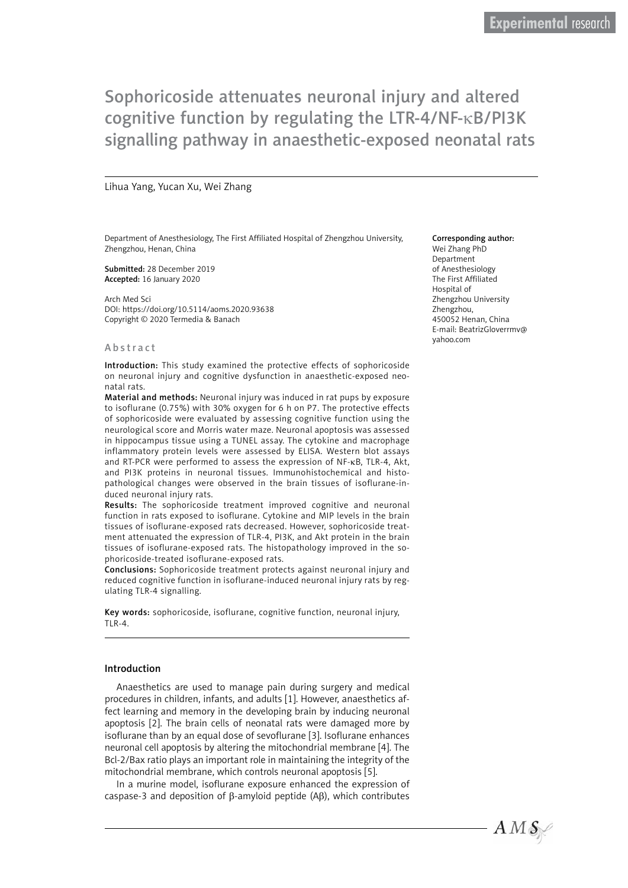Sophoricoside attenuates neuronal injury and altered cognitive function by regulating the LTR-4/NF-κB/PI3K signalling pathway in anaesthetic-exposed neonatal rats

#### Lihua Yang, Yucan Xu, Wei Zhang

Department of Anesthesiology, The First Affiliated Hospital of Zhengzhou University, Zhengzhou, Henan, China

Submitted: 28 December 2019 Accepted: 16 January 2020

Arch Med Sci DOI: https://doi.org/10.5114/aoms.2020.93638 Copyright © 2020 Termedia & Banach

#### Abstract

Introduction: This study examined the protective effects of sophoricoside on neuronal injury and cognitive dysfunction in anaesthetic-exposed neonatal rats.

Material and methods: Neuronal injury was induced in rat pups by exposure to isoflurane (0.75%) with 30% oxygen for 6 h on P7. The protective effects of sophoricoside were evaluated by assessing cognitive function using the neurological score and Morris water maze. Neuronal apoptosis was assessed in hippocampus tissue using a TUNEL assay. The cytokine and macrophage inflammatory protein levels were assessed by ELISA. Western blot assays and RT-PCR were performed to assess the expression of NF-kB, TLR-4, Akt, and PI3K proteins in neuronal tissues. Immunohistochemical and histopathological changes were observed in the brain tissues of isoflurane-induced neuronal injury rats.

Results: The sophoricoside treatment improved cognitive and neuronal function in rats exposed to isoflurane. Cytokine and MIP levels in the brain tissues of isoflurane-exposed rats decreased. However, sophoricoside treatment attenuated the expression of TLR-4, PI3K, and Akt protein in the brain tissues of isoflurane-exposed rats. The histopathology improved in the sophoricoside-treated isoflurane-exposed rats.

Conclusions: Sophoricoside treatment protects against neuronal injury and reduced cognitive function in isoflurane-induced neuronal injury rats by regulating TLR-4 signalling.

Key words: sophoricoside, isoflurane, cognitive function, neuronal injury, TLR-4.

#### Introduction

Anaesthetics are used to manage pain during surgery and medical procedures in children, infants, and adults [1]. However, anaesthetics affect learning and memory in the developing brain by inducing neuronal apoptosis [2]. The brain cells of neonatal rats were damaged more by isoflurane than by an equal dose of sevoflurane [3]. Isoflurane enhances neuronal cell apoptosis by altering the mitochondrial membrane [4]. The Bcl-2/Bax ratio plays an important role in maintaining the integrity of the mitochondrial membrane, which controls neuronal apoptosis [5].

In a murine model, isoflurane exposure enhanced the expression of caspase-3 and deposition of β-amyloid peptide (Aβ), which contributes

#### Corresponding author:

Wei Zhang PhD Department of Anesthesiology The First Affiliated Hospital of Zhengzhou University Zhengzhou, 450052 Henan, China E-mail: [BeatrizGloverrmv@](mailto:BeatrizGloverrmv@yahoo.com) [yahoo.com](mailto:BeatrizGloverrmv@yahoo.com)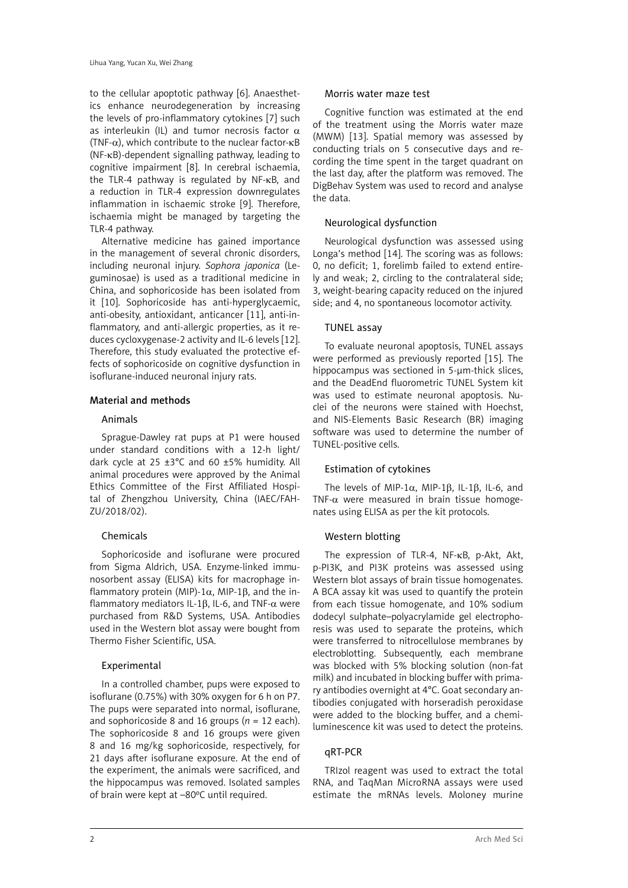to the cellular apoptotic pathway [6]. Anaesthetics enhance neurodegeneration by increasing the levels of pro-inflammatory cytokines [7] such as interleukin (IL) and tumor necrosis factor  $\alpha$ (TNF- $\alpha$ ), which contribute to the nuclear factor- $\kappa$ B (NF-κB)-dependent signalling pathway, leading to cognitive impairment [8]. In cerebral ischaemia, the TLR-4 pathway is regulated by NF-κB, and a reduction in TLR-4 expression downregulates inflammation in ischaemic stroke [9]. Therefore, ischaemia might be managed by targeting the TLR-4 pathway.

Alternative medicine has gained importance in the management of several chronic disorders, including neuronal injury. *Sophora japonica* (Leguminosae) is used as a traditional medicine in China, and sophoricoside has been isolated from it [10]. Sophoricoside has anti-hyperglycaemic, anti-obesity, antioxidant, anticancer [11], anti-inflammatory, and anti-allergic properties, as it reduces cycloxygenase-2 activity and IL-6 levels [12]. Therefore, this study evaluated the protective effects of sophoricoside on cognitive dysfunction in isoflurane-induced neuronal injury rats.

## Material and methods

## Animals

Sprague-Dawley rat pups at P1 were housed under standard conditions with a 12-h light/ dark cycle at 25  $\pm$ 3°C and 60  $\pm$ 5% humidity. All animal procedures were approved by the Animal Ethics Committee of the First Affiliated Hospital of Zhengzhou University, China (IAEC/FAH-ZU/2018/02).

# Chemicals

Sophoricoside and isoflurane were procured from Sigma Aldrich, USA. Enzyme-linked immunosorbent assay (ELISA) kits for macrophage inflammatory protein (MIP)-1 $\alpha$ , MIP-1 $\beta$ , and the inflammatory mediators IL-1β, IL-6, and TNF-α were purchased from R&D Systems, USA. Antibodies used in the Western blot assay were bought from [Thermo Fisher Scientific, USA.](https://www.googleadservices.com/pagead/aclk?sa=L&ai=DChcSEwi6tZLOsbDlAhXbCisKHao9CCUYABAAGgJzZg&ohost=www.google.com&cid=CAESQeD2WgShKi7KYo0CvhWUjVj4kUnGLcgz5sMQyB2ext2KsoUFOsK9IlEF4TW0dTjKneGFYRRK8si0JL4Jyomm_ggd&sig=AOD64_1eozhwIbt8p-GbDbT-Ty6K2r9SUQ&q=&ved=2ahUKEwja1IrOsbDlAhXEYysKHZRZCxgQ0Qx6BAgNEAE&adurl=)

# Experimental

In a controlled chamber, pups were exposed to isoflurane (0.75%) with 30% oxygen for 6 h on P7. The pups were separated into normal, isoflurane, and sophoricoside 8 and 16 groups  $(n = 12 \text{ each})$ . The sophoricoside 8 and 16 groups were given 8 and 16 mg/kg sophoricoside, respectively, for 21 days after isoflurane exposure. At the end of the experiment, the animals were sacrificed, and the hippocampus was removed. Isolated samples of brain were kept at –80ºC until required.

#### Morris water maze test

Cognitive function was estimated at the end of the treatment using the Morris water maze (MWM) [13]. Spatial memory was assessed by conducting trials on 5 consecutive days and recording the time spent in the target quadrant on the last day, after the platform was removed. The DigBehav System was used to record and analyse the data.

# Neurological dysfunction

Neurological dysfunction was assessed using Longa's method [14]. The scoring was as follows: 0, no deficit; 1, forelimb failed to extend entirely and weak; 2, circling to the contralateral side; 3, weight-bearing capacity reduced on the injured side; and 4, no spontaneous locomotor activity.

## TUNEL assay

To evaluate neuronal apoptosis, TUNEL assays were performed as previously reported [15]. The hippocampus was sectioned in 5-um-thick slices. and the DeadEnd fluorometric TUNEL System kit was used to estimate neuronal apoptosis. Nuclei of the neurons were stained with Hoechst, and NIS-Elements Basic Research (BR) imaging software was used to determine the number of TUNEL-positive cells.

## Estimation of cytokines

The levels of MIP-1 $\alpha$ , MIP-1 $\beta$ , IL-1 $\beta$ , IL-6, and TNF- $\alpha$  were measured in brain tissue homogenates using ELISA as per the kit protocols.

# Western blotting

The expression of TLR-4, NF-κB, p-Akt, Akt, p-PI3K, and PI3K proteins was assessed using Western blot assays of brain tissue homogenates. A BCA assay kit was used to quantify the protein from each tissue homogenate, and 10% sodium dodecyl sulphate–polyacrylamide gel electrophoresis was used to separate the proteins, which were transferred to nitrocellulose membranes by electroblotting. Subsequently, each membrane was blocked with 5% blocking solution (non-fat milk) and incubated in blocking buffer with primary antibodies overnight at 4°C. Goat secondary antibodies conjugated with horseradish peroxidase were added to the blocking buffer, and a chemiluminescence kit was used to detect the proteins.

## qRT-PCR

TRIzol reagent was used to extract the total RNA, and TaqMan MicroRNA assays were used estimate the mRNAs levels. Moloney murine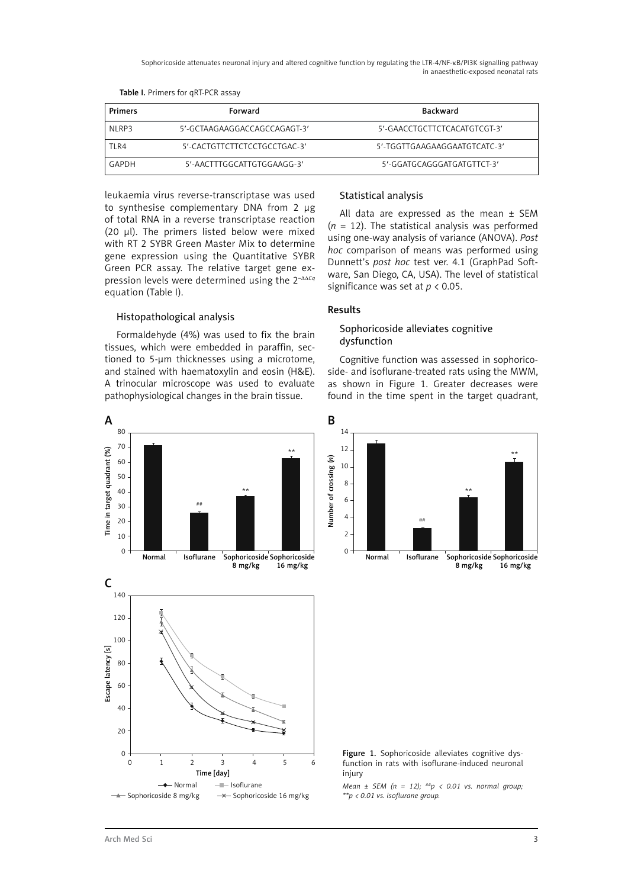Sophoricoside attenuates neuronal injury and altered cognitive function by regulating the LTR-4/NF-κB/PI3K signalling pathway in anaesthetic-exposed neonatal rats

| Primers     | Forward                      | <b>Backward</b>              |
|-------------|------------------------------|------------------------------|
| NI RP3      | 5'-GCTAAGAAGGACCAGCCAGAGT-3' | 5'-GAACCTGCTTCTCACATGTCGT-3' |
| <b>TIR4</b> | 5'-CACTGTTCTTCTCCTGCCTGAC-3' | 5'-TGGTTGAAGAAGGAATGTCATC-3' |
| GAPDH       | 5'-AACTTTGGCATTGTGGAAGG-3'   | 5'-GGATGCAGGGATGATGTTCT-3'   |

#### Table I. Primers for qRT-PCR assay

leukaemia virus reverse-transcriptase was used to synthesise complementary DNA from 2 µg of total RNA in a reverse transcriptase reaction (20 µl). The primers listed below were mixed with RT 2 SYBR Green Master Mix to determine gene expression using the Quantitative SYBR Green PCR assay. The relative target gene expression levels were determined using the 2–ΔΔ*Cq* equation (Table I).

## Histopathological analysis

Formaldehyde (4%) was used to fix the brain tissues, which were embedded in paraffin, sectioned to 5-μm thicknesses using a microtome, and stained with haematoxylin and eosin (H&E). A trinocular microscope was used to evaluate pathophysiological changes in the brain tissue.



## Statistical analysis

All data are expressed as the mean  $\pm$  SEM  $(n = 12)$ . The statistical analysis was performed using one-way analysis of variance (ANOVA). *Post hoc* comparison of means was performed using Dunnett's *post hoc* test ver. 4.1 (GraphPad Software, San Diego, CA, USA). The level of statistical significance was set at *p* < 0.05.

#### Results

## Sophoricoside alleviates cognitive dysfunction

Cognitive function was assessed in sophoricoside- and isoflurane-treated rats using the MWM, as shown in Figure 1. Greater decreases were found in the time spent in the target quadrant,



Figure 1. Sophoricoside alleviates cognitive dysfunction in rats with isoflurane-induced neuronal injury

*Mean ± SEM (n = 12); ##p < 0.01 vs. normal group; \*\*p < 0.01 vs. isoflurane group.*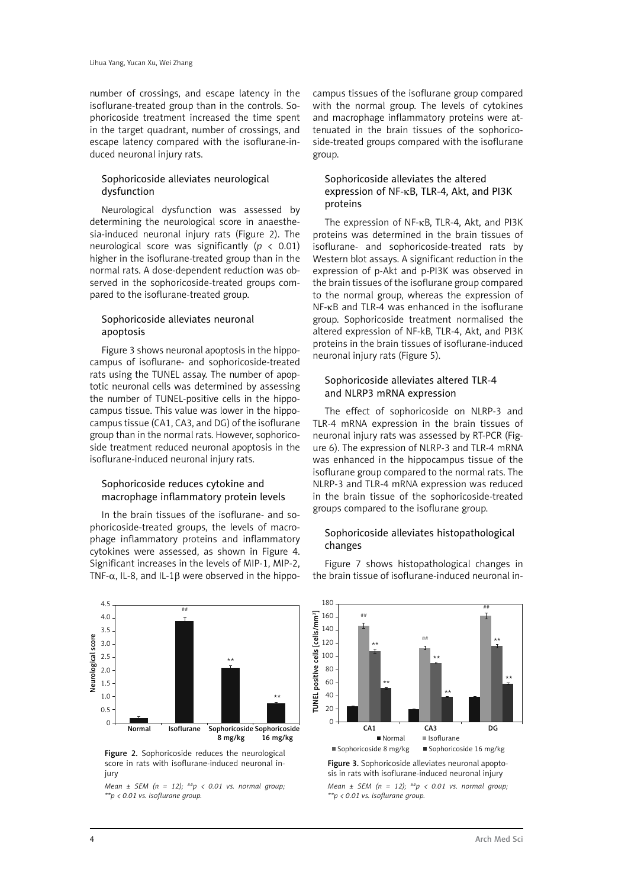number of crossings, and escape latency in the isoflurane-treated group than in the controls. Sophoricoside treatment increased the time spent in the target quadrant, number of crossings, and escape latency compared with the isoflurane-induced neuronal injury rats.

# Sophoricoside alleviates neurological dysfunction

Neurological dysfunction was assessed by determining the neurological score in anaesthesia-induced neuronal injury rats (Figure 2). The neurological score was significantly (*p* < 0.01) higher in the isoflurane-treated group than in the normal rats. A dose-dependent reduction was observed in the sophoricoside-treated groups compared to the isoflurane-treated group.

## Sophoricoside alleviates neuronal apoptosis

Figure 3 shows neuronal apoptosis in the hippocampus of isoflurane- and sophoricoside-treated rats using the TUNEL assay. The number of apoptotic neuronal cells was determined by assessing the number of TUNEL-positive cells in the hippocampus tissue. This value was lower in the hippocampus tissue (CA1, CA3, and DG) of the isoflurane group than in the normal rats. However, sophoricoside treatment reduced neuronal apoptosis in the isoflurane-induced neuronal injury rats.

## Sophoricoside reduces cytokine and macrophage inflammatory protein levels

In the brain tissues of the isoflurane- and sophoricoside-treated groups, the levels of macrophage inflammatory proteins and inflammatory cytokines were assessed, as shown in Figure 4. Significant increases in the levels of MIP-1, MIP-2, TNF- $\alpha$ , IL-8, and IL-1B were observed in the hippo-



score in rats with isoflurane-induced neuronal injury

*Mean ± SEM (n = 12); ##p < 0.01 vs. normal group; \*\*p < 0.01 vs. isoflurane group.*

campus tissues of the isoflurane group compared with the normal group. The levels of cytokines and macrophage inflammatory proteins were attenuated in the brain tissues of the sophoricoside-treated groups compared with the isoflurane group.

## Sophoricoside alleviates the altered expression of NF-kB, TLR-4, Akt, and PI3K proteins

The expression of NF-KB, TLR-4, Akt, and PI3K proteins was determined in the brain tissues of isoflurane- and sophoricoside-treated rats by Western blot assays. A significant reduction in the expression of p-Akt and p-PI3K was observed in the brain tissues of the isoflurane group compared to the normal group, whereas the expression of NF-kB and TLR-4 was enhanced in the isoflurane group. Sophoricoside treatment normalised the altered expression of NF-kB, TLR-4, Akt, and PI3K proteins in the brain tissues of isoflurane-induced neuronal injury rats (Figure 5).

# Sophoricoside alleviates altered TLR-4 and NLRP3 mRNA expression

The effect of sophoricoside on NLRP-3 and TLR-4 mRNA expression in the brain tissues of neuronal injury rats was assessed by RT-PCR (Figure 6). The expression of NLRP-3 and TLR-4 mRNA was enhanced in the hippocampus tissue of the isoflurane group compared to the normal rats. The NLRP-3 and TLR-4 mRNA expression was reduced in the brain tissue of the sophoricoside-treated groups compared to the isoflurane group.

# Sophoricoside alleviates histopathological changes

Figure 7 shows histopathological changes in the brain tissue of isoflurane-induced neuronal in-



Figure 3. Sophoricoside alleviates neuronal apoptosis in rats with isoflurane-induced neuronal injury *Mean ± SEM (n = 12); ##p < 0.01 vs. normal group; \*\*p < 0.01 vs. isoflurane group.*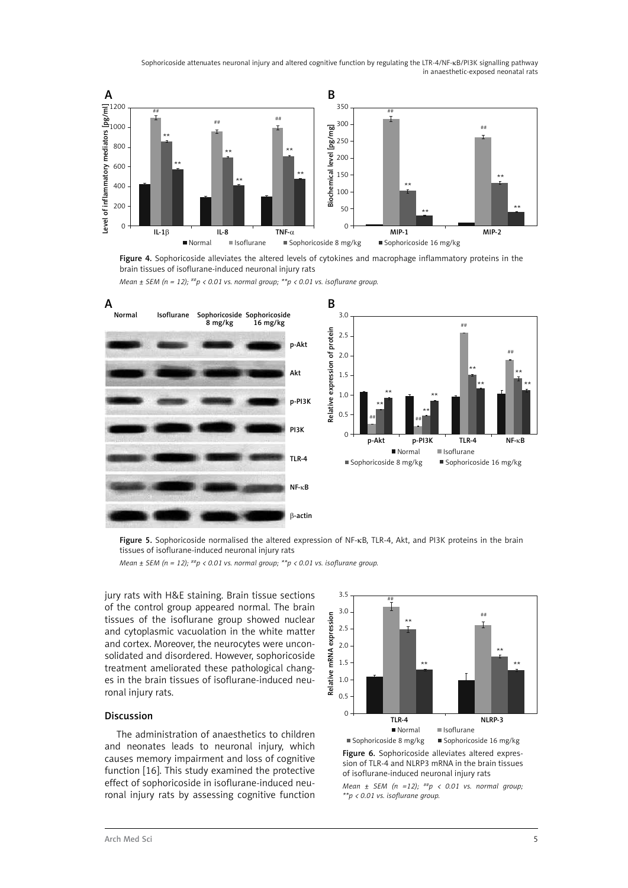Sophoricoside attenuates neuronal injury and altered cognitive function by regulating the LTR-4/NF-κB/PI3K signalling pathway in anaesthetic-exposed neonatal rats



Figure 4. Sophoricoside alleviates the altered levels of cytokines and macrophage inflammatory proteins in the brain tissues of isoflurane-induced neuronal injury rats





Figure 5. Sophoricoside normalised the altered expression of NF-KB, TLR-4, Akt, and PI3K proteins in the brain tissues of isoflurane-induced neuronal injury rats

*Mean ± SEM (n = 12); ##p < 0.01 vs. normal group; \*\*p < 0.01 vs. isoflurane group.*

jury rats with H&E staining. Brain tissue sections of the control group appeared normal. The brain tissues of the isoflurane group showed nuclear and cytoplasmic vacuolation in the white matter and cortex. Moreover, the neurocytes were unconsolidated and disordered. However, sophoricoside treatment ameliorated these pathological changes in the brain tissues of isoflurane-induced neuronal injury rats.

#### Discussion

The administration of anaesthetics to children and neonates leads to neuronal injury, which causes memory impairment and loss of cognitive function [16]. This study examined the protective effect of sophoricoside in isoflurane-induced neuronal injury rats by assessing cognitive function



Figure 6. Sophoricoside alleviates altered expression of TLR-4 and NLRP3 mRNA in the brain tissues of isoflurane-induced neuronal injury rats

*Mean ± SEM (n =12); ##p < 0.01 vs. normal group; \*\*p < 0.01 vs. isoflurane group.*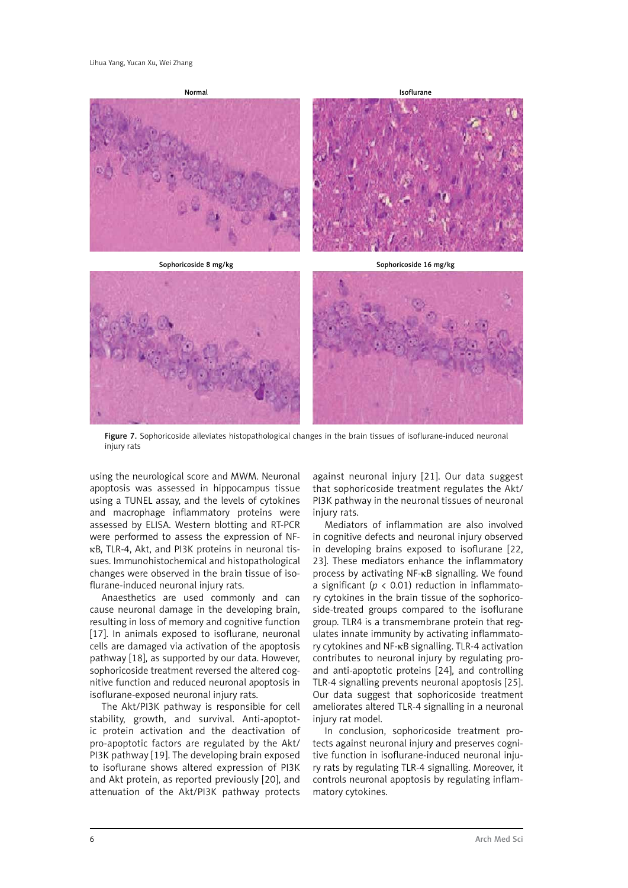

Figure 7. Sophoricoside alleviates histopathological changes in the brain tissues of isoflurane-induced neuronal injury rats

using the neurological score and MWM. Neuronal apoptosis was assessed in hippocampus tissue using a TUNEL assay, and the levels of cytokines and macrophage inflammatory proteins were assessed by ELISA. Western blotting and RT-PCR were performed to assess the expression of NFkB, TLR-4, Akt, and PI3K proteins in neuronal tissues. Immunohistochemical and histopathological changes were observed in the brain tissue of isoflurane-induced neuronal injury rats.

Anaesthetics are used commonly and can cause neuronal damage in the developing brain, resulting in loss of memory and cognitive function [17]. In animals exposed to isoflurane, neuronal cells are damaged via activation of the apoptosis pathway [18], as supported by our data. However, sophoricoside treatment reversed the altered cognitive function and reduced neuronal apoptosis in isoflurane-exposed neuronal injury rats.

The Akt/PI3K pathway is responsible for cell stability, growth, and survival. Anti-apoptotic protein activation and the deactivation of pro-apoptotic factors are regulated by the Akt/ PI3K pathway [19]. The developing brain exposed to isoflurane shows altered expression of PI3K and Akt protein, as reported previously [20], and attenuation of the Akt/PI3K pathway protects

against neuronal injury [21]. Our data suggest that sophoricoside treatment regulates the Akt/ PI3K pathway in the neuronal tissues of neuronal injury rats.

Mediators of inflammation are also involved in cognitive defects and neuronal injury observed in developing brains exposed to isoflurane [22, 23]. These mediators enhance the inflammatory process by activating NF-κB signalling. We found a significant (*p* < 0.01) reduction in inflammatory cytokines in the brain tissue of the sophoricoside-treated groups compared to the isoflurane group. TLR4 is a transmembrane protein that regulates innate immunity by activating inflammatory cytokines and NF-κB signalling. TLR-4 activation contributes to neuronal injury by regulating proand anti-apoptotic proteins [24], and controlling TLR-4 signalling prevents neuronal apoptosis [25]. Our data suggest that sophoricoside treatment ameliorates altered TLR-4 signalling in a neuronal injury rat model.

In conclusion, sophoricoside treatment protects against neuronal injury and preserves cognitive function in isoflurane-induced neuronal injury rats by regulating TLR-4 signalling. Moreover, it controls neuronal apoptosis by regulating inflammatory cytokines.